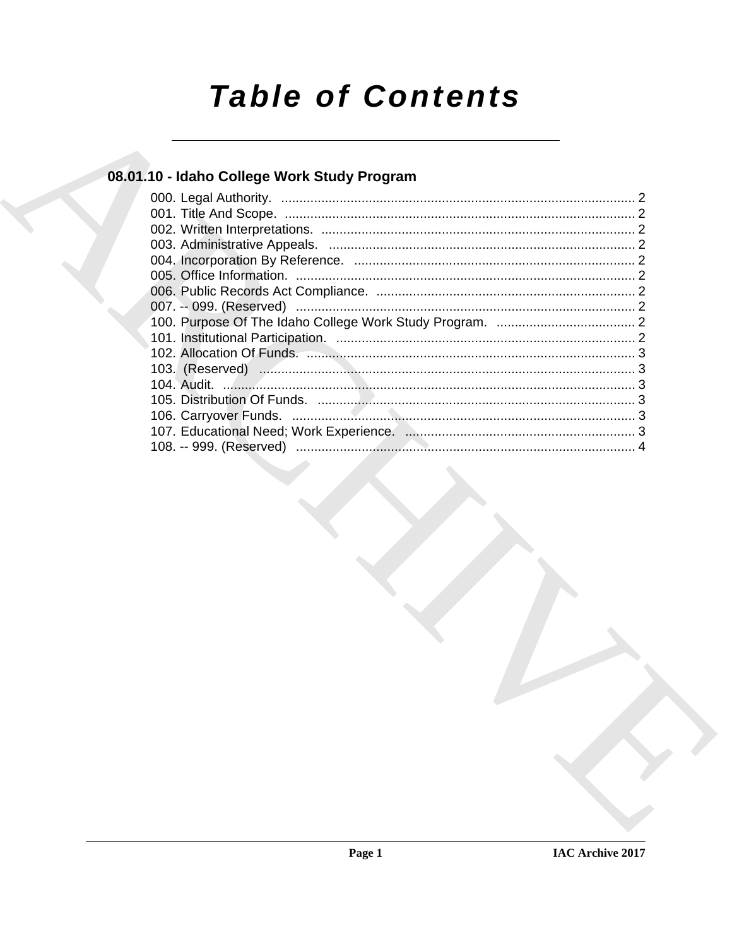# **Table of Contents**

# 08.01.10 - Idaho College Work Study Program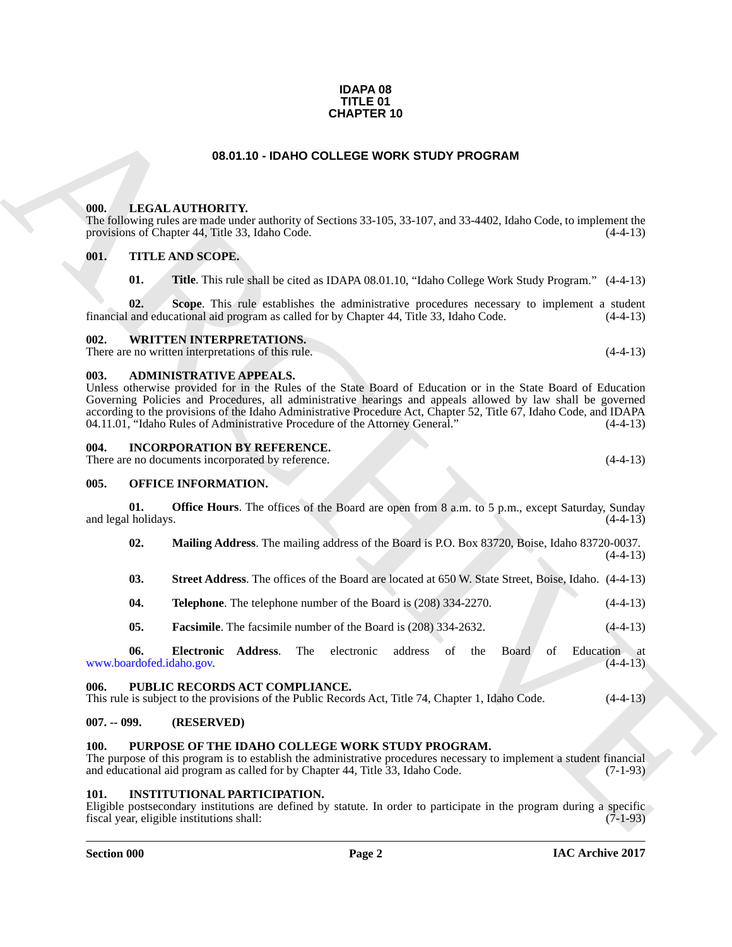#### **IDAPA 08 TITLE 01 CHAPTER 10**

#### **08.01.10 - IDAHO COLLEGE WORK STUDY PROGRAM**

#### <span id="page-1-1"></span><span id="page-1-0"></span>**000. LEGAL AUTHORITY.**

The following rules are made under authority of Sections 33-105, 33-107, and 33-4402, Idaho Code, to implement the provisions of Chapter 44, Title 33, Idaho Code. (4-4-13)

#### <span id="page-1-2"></span>**001. TITLE AND SCOPE.**

**01. Title**. This rule shall be cited as IDAPA 08.01.10, "Idaho College Work Study Program." (4-4-13)

**02.** Scope. This rule establishes the administrative procedures necessary to implement a student and educational aid program as called for by Chapter 44, Title 33, Idaho Code.  $(4-4-13)$ financial and educational aid program as called for by Chapter 44, Title 33, Idaho Code.

#### <span id="page-1-3"></span>**002. WRITTEN INTERPRETATIONS.**

There are no written interpretations of this rule. (4-4-13)

#### <span id="page-1-4"></span>**003. ADMINISTRATIVE APPEALS.**

**CHAPTER 10**<br> **CHALA ALTHORITY:**<br> **CHALA ALTHORITY:**<br> **CHALA ALTHORITY:**<br> **CHALA ARTHORITY:**<br> **CHALA ARTHORITY:**<br> **CHALA ARTHORITY:**<br> **CHALA ARTHORITY:**<br> **CHALA ARTHORITY:**<br> **CHALA ARTHORITY:**<br> **CHALA ARTHORITY:**<br> **CHALA** Unless otherwise provided for in the Rules of the State Board of Education or in the State Board of Education Governing Policies and Procedures, all administrative hearings and appeals allowed by law shall be governed according to the provisions of the Idaho Administrative Procedure Act, Chapter 52, Title 67, Idaho Code, and IDAPA 04.11.01, "Idaho Rules of Administrative Procedure of the Attorney General." (4-4-13)

#### <span id="page-1-5"></span>**004. INCORPORATION BY REFERENCE.**

There are no documents incorporated by reference. (4-4-13)

#### <span id="page-1-6"></span>**005. OFFICE INFORMATION.**

**01. Office Hours**. The offices of the Board are open from 8 a.m. to 5 p.m., except Saturday, Sunday (4-4-13) and legal holidays.

**02. Mailing Address**. The mailing address of the Board is P.O. Box 83720, Boise, Idaho 83720-0037.

| 03. | <b>Street Address.</b> The offices of the Board are located at 650 W. State Street, Boise, Idaho. (4-4-13) |  |  |  |  |  |  |
|-----|------------------------------------------------------------------------------------------------------------|--|--|--|--|--|--|
|-----|------------------------------------------------------------------------------------------------------------|--|--|--|--|--|--|

- **04. Telephone**. The telephone number of the Board is (208) 334-2270. (4-4-13)
- **05. Facsimile**. The facsimile number of the Board is (208) 334-2632. (4-4-13)

**06. Electronic Address**. The electronic address of the Board of Education at ardofed.idaho.gov. (4-4-13) www.boardofed.idaho.gov.

#### <span id="page-1-7"></span>**006. PUBLIC RECORDS ACT COMPLIANCE.**

This rule is subject to the provisions of the Public Records Act, Title 74, Chapter 1, Idaho Code. (4-4-13)

#### <span id="page-1-8"></span>**007. -- 099. (RESERVED)**

#### <span id="page-1-12"></span><span id="page-1-9"></span>**100. PURPOSE OF THE IDAHO COLLEGE WORK STUDY PROGRAM.**

The purpose of this program is to establish the administrative procedures necessary to implement a student financial and educational aid program as called for by Chapter 44, Title 33, Idaho Code. (7-1-93) and educational aid program as called for by Chapter 44, Title 33, Idaho Code.

#### <span id="page-1-11"></span><span id="page-1-10"></span>**101. INSTITUTIONAL PARTICIPATION.**

Eligible postsecondary institutions are defined by statute. In order to participate in the program during a specific fiscal year, eligible institutions shall: (7-1-93)

#### **Section 000 Page 2**

 $(4-4-13)$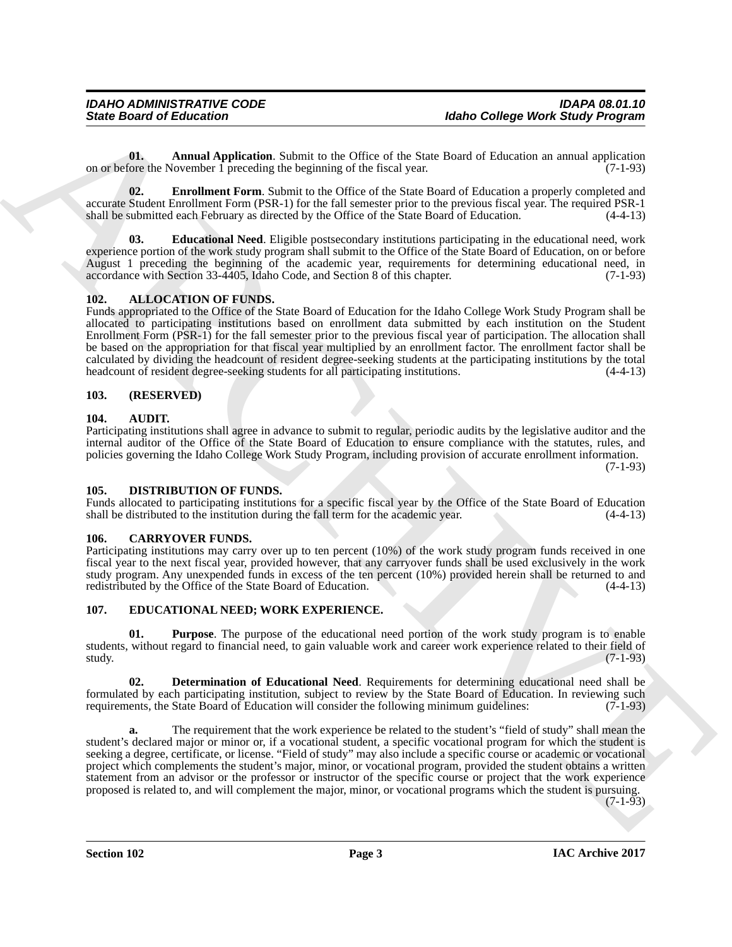<span id="page-2-12"></span>**01. Annual Application**. Submit to the Office of the State Board of Education an annual application ore the November 1 preceding the beginning of the fiscal year. (7-1-93) on or before the November 1 preceding the beginning of the fiscal year.

<span id="page-2-14"></span>**02. Enrollment Form**. Submit to the Office of the State Board of Education a properly completed and accurate Student Enrollment Form (PSR-1) for the fall semester prior to the previous fiscal year. The required PSR-1 shall be submitted each February as directed by the Office of the State Board of Education.

<span id="page-2-13"></span>**03. Educational Need**. Eligible postsecondary institutions participating in the educational need, work experience portion of the work study program shall submit to the Office of the State Board of Education, on or before August 1 preceding the beginning of the academic year, requirements for determining educational need, in accordance with Section 33-4405, Idaho Code, and Section 8 of this chapter. (7-1-93)

### <span id="page-2-6"></span><span id="page-2-0"></span>**102. ALLOCATION OF FUNDS.**

Funds appropriated to the Office of the State Board of Education for the Idaho College Work Study Program shall be allocated to participating institutions based on enrollment data submitted by each institution on the Student Enrollment Form (PSR-1) for the fall semester prior to the previous fiscal year of participation. The allocation shall be based on the appropriation for that fiscal year multiplied by an enrollment factor. The enrollment factor shall be calculated by dividing the headcount of resident degree-seeking students at the participating institutions by the total headcount of resident degree-seeking students for all participating institutions. (4-4-13)

#### <span id="page-2-1"></span>**103. (RESERVED)**

#### <span id="page-2-7"></span><span id="page-2-2"></span>**104. AUDIT.**

Participating institutions shall agree in advance to submit to regular, periodic audits by the legislative auditor and the internal auditor of the Office of the State Board of Education to ensure compliance with the statutes, rules, and policies governing the Idaho College Work Study Program, including provision of accurate enrollment information.  $(7-1-93)$ 

#### <span id="page-2-9"></span><span id="page-2-3"></span>**105. DISTRIBUTION OF FUNDS.**

Funds allocated to participating institutions for a specific fiscal year by the Office of the State Board of Education shall be distributed to the institution during the fall term for the academic year. (4-4-13)

#### <span id="page-2-8"></span><span id="page-2-4"></span>**106. CARRYOVER FUNDS.**

Participating institutions may carry over up to ten percent (10%) of the work study program funds received in one fiscal year to the next fiscal year, provided however, that any carryover funds shall be used exclusively in the work study program. Any unexpended funds in excess of the ten percent (10%) provided herein shall be returned to and redistributed by the Office of the State Board of Education. (4-4-13)

### <span id="page-2-5"></span>**107. EDUCATIONAL NEED; WORK EXPERIENCE.**

<span id="page-2-11"></span>**01. Purpose**. The purpose of the educational need portion of the work study program is to enable students, without regard to financial need, to gain valuable work and career work experience related to their field of study.  $(7-1-93)$ 

<span id="page-2-10"></span>**02. Determination of Educational Need**. Requirements for determining educational need shall be formulated by each participating institution, subject to review by the State Board of Education. In reviewing such requirements, the State Board of Education will consider the following minimum guidelines: (7-1-93)

Since Board of Enters the China shade of the China shade College Work Since Proposes and the China shade of the Since Proposes and the China shade of the China shade of the China shade of the China shade of the China shad **a.** The requirement that the work experience be related to the student's "field of study" shall mean the student's declared major or minor or, if a vocational student, a specific vocational program for which the student is seeking a degree, certificate, or license. "Field of study" may also include a specific course or academic or vocational project which complements the student's major, minor, or vocational program, provided the student obtains a written statement from an advisor or the professor or instructor of the specific course or project that the work experience proposed is related to, and will complement the major, minor, or vocational programs which the student is pursuing.

(7-1-93)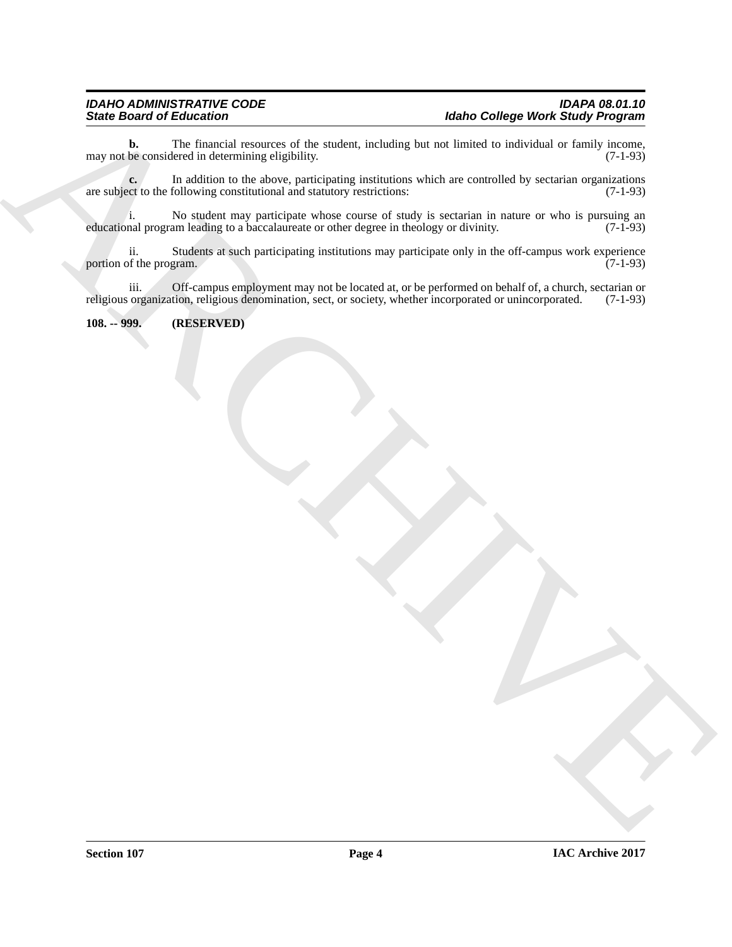Since Broad of Ecliptonia and the media, including the state of the state of the state of the state of the state of the state of the state of the state of the state of the state of the state of the state of the state of t **b.** The financial resources of the student, including but not limited to individual or family income, be considered in determining eligibility. (7-1-93) may not be considered in determining eligibility.

**c.** In addition to the above, participating institutions which are controlled by sectarian organizations externed to the following constitutional and statutory restrictions: (7-1-93) are subject to the following constitutional and statutory restrictions:

i. No student may participate whose course of study is sectarian in nature or who is pursuing an nal program leading to a baccalaureate or other degree in theology or divinity. (7-1-93) educational program leading to a baccalaureate or other degree in theology or divinity.

ii. Students at such participating institutions may participate only in the off-campus work experience of the program. (7-1-93) portion of the program.

iii. Off-campus employment may not be located at, or be performed on behalf of, a church, sectarian or religious organization, religious denomination, sect, or society, whether incorporated or unincorporated. (7-1-93)

#### <span id="page-3-0"></span>**108. -- 999. (RESERVED)**